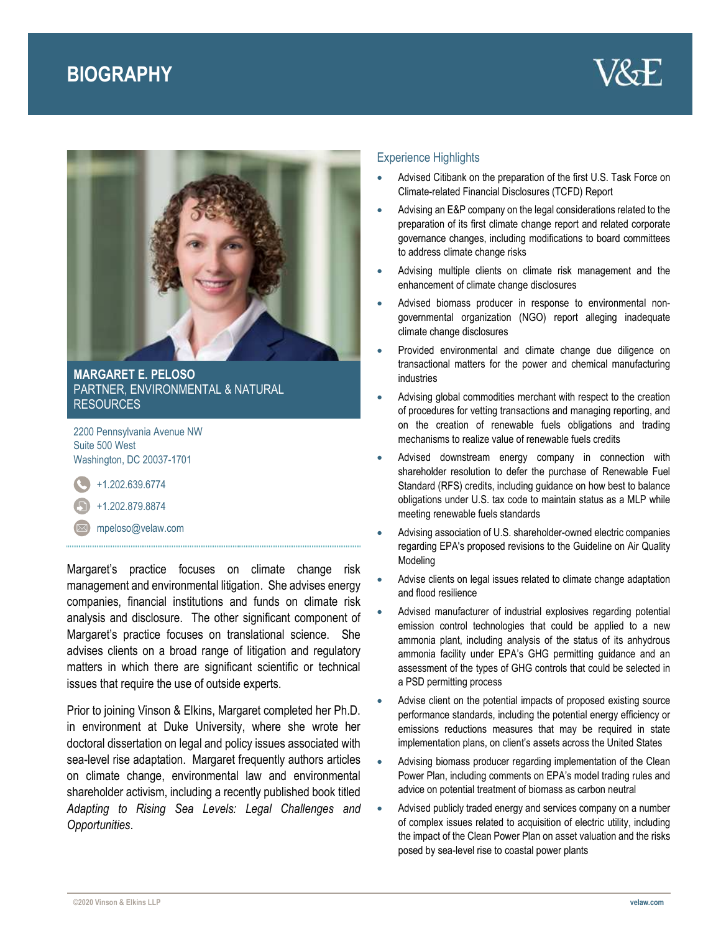# **BIOGRAPHY**





**MARGARET E. PELOSO** PARTNER, ENVIRONMENTAL & NATURAL RESOURCES

2200 Pennsylvania Avenue NW Suite 500 West Washington, DC 20037-1701

+1.202.639.6774

- +1.202.879.8874
- $\boxtimes$  [mpeloso@velaw.com](mailto:mpeloso@velaw.com)

Margaret's practice focuses on climate change risk management and environmental litigation. She advises energy companies, financial institutions and funds on climate risk analysis and disclosure. The other significant component of Margaret's practice focuses on translational science. She advises clients on a broad range of litigation and regulatory matters in which there are significant scientific or technical issues that require the use of outside experts.

Prior to joining Vinson & Elkins, Margaret completed her Ph.D. in environment at Duke University, where she wrote her doctoral dissertation on legal and policy issues associated with sea-level rise adaptation. Margaret frequently authors articles on climate change, environmental law and environmental shareholder activism, including a recently published book titled *Adapting to Rising Sea Levels: Legal Challenges and Opportunities*.

## Experience Highlights

- Advised Citibank on the preparation of the first U.S. Task Force on Climate-related Financial Disclosures (TCFD) Report
- Advising an E&P company on the legal considerations related to the preparation of its first climate change report and related corporate governance changes, including modifications to board committees to address climate change risks
- Advising multiple clients on climate risk management and the enhancement of climate change disclosures
- Advised biomass producer in response to environmental nongovernmental organization (NGO) report alleging inadequate climate change disclosures
- Provided environmental and climate change due diligence on transactional matters for the power and chemical manufacturing industries
- Advising global commodities merchant with respect to the creation of procedures for vetting transactions and managing reporting, and on the creation of renewable fuels obligations and trading mechanisms to realize value of renewable fuels credits
- Advised downstream energy company in connection with shareholder resolution to defer the purchase of Renewable Fuel Standard (RFS) credits, including guidance on how best to balance obligations under U.S. tax code to maintain status as a MLP while meeting renewable fuels standards
- Advising association of U.S. shareholder-owned electric companies regarding EPA's proposed revisions to the Guideline on Air Quality Modeling
- Advise clients on legal issues related to climate change adaptation and flood resilience
- Advised manufacturer of industrial explosives regarding potential emission control technologies that could be applied to a new ammonia plant, including analysis of the status of its anhydrous ammonia facility under EPA's GHG permitting guidance and an assessment of the types of GHG controls that could be selected in a PSD permitting process
- Advise client on the potential impacts of proposed existing source performance standards, including the potential energy efficiency or emissions reductions measures that may be required in state implementation plans, on client's assets across the United States
- Advising biomass producer regarding implementation of the Clean Power Plan, including comments on EPA's model trading rules and advice on potential treatment of biomass as carbon neutral
- Advised publicly traded energy and services company on a number of complex issues related to acquisition of electric utility, including the impact of the Clean Power Plan on asset valuation and the risks posed by sea-level rise to coastal power plants